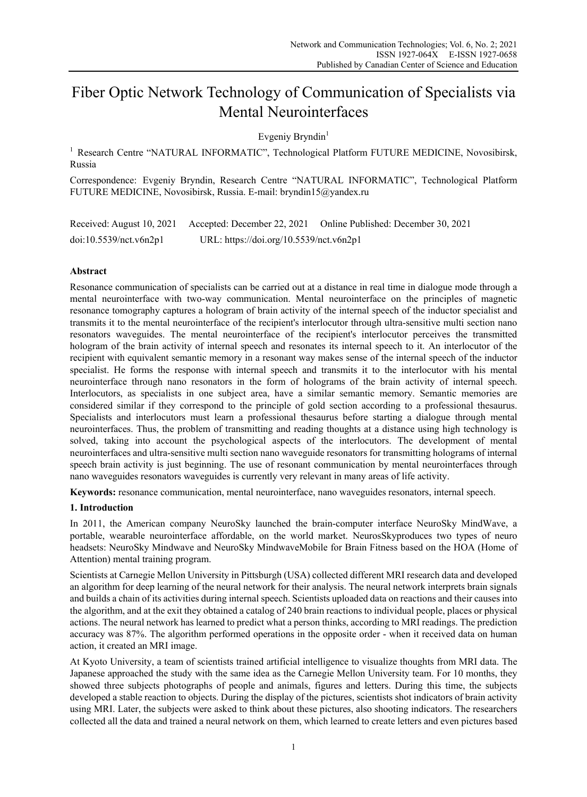# Fiber Optic Network Technology of Communication of Specialists via Mental Neurointerfaces

Evgeniy Bryndin<sup>1</sup>

<sup>1</sup> Research Centre "NATURAL INFORMATIC", Technological Platform FUTURE MEDICINE, Novosibirsk, Russia

Correspondence: Evgeniy Bryndin, Research Centre "NATURAL INFORMATIC", Technological Platform FUTURE MEDICINE, Novosibirsk, Russia. E-mail: bryndin15@yandex.ru

Received: August 10, 2021 Accepted: December 22, 2021 Online Published: December 30, 2021 doi:10.5539/nct.v6n2p1 URL: https://doi.org/10.5539/nct.v6n2p1

# **Abstract**

Resonance communication of specialists can be carried out at a distance in real time in dialogue mode through a mental neurointerface with two-way communication. Mental neurointerface on the principles of magnetic resonance tomography captures a hologram of brain activity of the internal speech of the inductor specialist and transmits it to the mental neurointerface of the recipient's interlocutor through ultra-sensitive multi section nano resonators waveguides. The mental neurointerface of the recipient's interlocutor perceives the transmitted hologram of the brain activity of internal speech and resonates its internal speech to it. An interlocutor of the recipient with equivalent semantic memory in a resonant way makes sense of the internal speech of the inductor specialist. He forms the response with internal speech and transmits it to the interlocutor with his mental neurointerface through nano resonators in the form of holograms of the brain activity of internal speech. Interlocutors, as specialists in one subject area, have a similar semantic memory. Semantic memories are considered similar if they correspond to the principle of gold section according to a professional thesaurus. Specialists and interlocutors must learn a professional thesaurus before starting a dialogue through mental neurointerfaces. Thus, the problem of transmitting and reading thoughts at a distance using high technology is solved, taking into account the psychological aspects of the interlocutors. The development of mental neurointerfaces and ultra-sensitive multi section nano waveguide resonators for transmitting holograms of internal speech brain activity is just beginning. The use of resonant communication by mental neurointerfaces through nano waveguides resonators waveguides is currently very relevant in many areas of life activity.

**Keywords:** resonance communication, mental neurointerface, nano waveguides resonators, internal speech.

# **1. Introduction**

In 2011, the American company NeuroSky launched the brain-computer interface NeuroSky MindWave, a portable, wearable neurointerface affordable, on the world market. NeurosSkyproduces two types of neuro headsets: NeuroSky Mindwave and NeuroSky MindwaveMobile for Brain Fitness based on the HOA (Home of Attention) mental training program.

Scientists at Carnegie Mellon University in Pittsburgh (USA) collected different MRI research data and developed an algorithm for deep learning of the neural network for their analysis. The neural network interprets brain signals and builds a chain of its activities during internal speech. Scientists uploaded data on reactions and their causes into the algorithm, and at the exit they obtained a catalog of 240 brain reactions to individual people, places or physical actions. The neural network has learned to predict what a person thinks, according to MRI readings. The prediction accuracy was 87%. The algorithm performed operations in the opposite order - when it received data on human action, it created an MRI image.

At Kyoto University, a team of scientists trained artificial intelligence to visualize thoughts from MRI data. The Japanese approached the study with the same idea as the Carnegie Mellon University team. For 10 months, they showed three subjects photographs of people and animals, figures and letters. During this time, the subjects developed a stable reaction to objects. During the display of the pictures, scientists shot indicators of brain activity using MRI. Later, the subjects were asked to think about these pictures, also shooting indicators. The researchers collected all the data and trained a neural network on them, which learned to create letters and even pictures based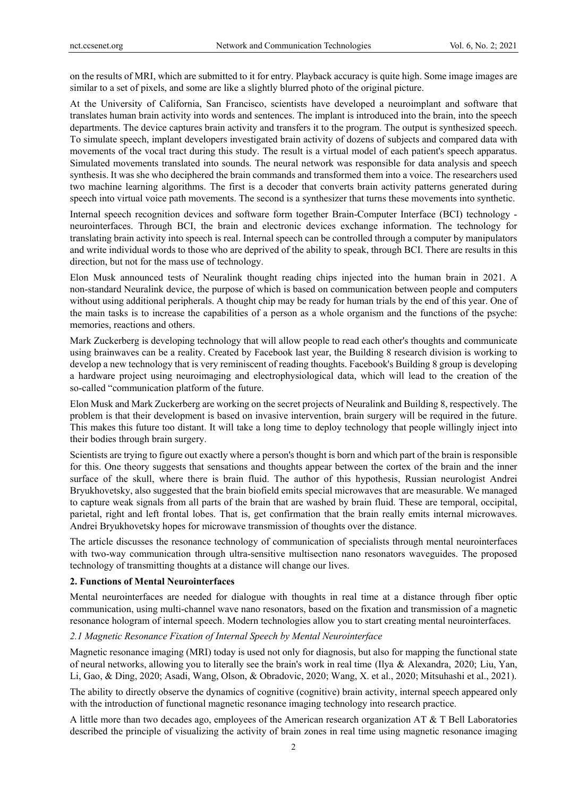on the results of MRI, which are submitted to it for entry. Playback accuracy is quite high. Some image images are similar to a set of pixels, and some are like a slightly blurred photo of the original picture.

At the University of California, San Francisco, scientists have developed a neuroimplant and software that translates human brain activity into words and sentences. The implant is introduced into the brain, into the speech departments. The device captures brain activity and transfers it to the program. The output is synthesized speech. To simulate speech, implant developers investigated brain activity of dozens of subjects and compared data with movements of the vocal tract during this study. The result is a virtual model of each patient's speech apparatus. Simulated movements translated into sounds. The neural network was responsible for data analysis and speech synthesis. It was she who deciphered the brain commands and transformed them into a voice. The researchers used two machine learning algorithms. The first is a decoder that converts brain activity patterns generated during speech into virtual voice path movements. The second is a synthesizer that turns these movements into synthetic.

Internal speech recognition devices and software form together Brain-Computer Interface (BCI) technology neurointerfaces. Through BCI, the brain and electronic devices exchange information. The technology for translating brain activity into speech is real. Internal speech can be controlled through a computer by manipulators and write individual words to those who are deprived of the ability to speak, through BCI. There are results in this direction, but not for the mass use of technology.

Elon Musk announced tests of Neuralink thought reading chips injected into the human brain in 2021. A non-standard Neuralink device, the purpose of which is based on communication between people and computers without using additional peripherals. A thought chip may be ready for human trials by the end of this year. One of the main tasks is to increase the capabilities of a person as a whole organism and the functions of the psyche: memories, reactions and others.

Mark Zuckerberg is developing technology that will allow people to read each other's thoughts and communicate using brainwaves can be a reality. Created by Facebook last year, the Building 8 research division is working to develop a new technology that is very reminiscent of reading thoughts. Facebook's Building 8 group is developing a hardware project using neuroimaging and electrophysiological data, which will lead to the creation of the so-called "communication platform of the future.

Elon Musk and Mark Zuckerberg are working on the secret projects of Neuralink and Building 8, respectively. The problem is that their development is based on invasive intervention, brain surgery will be required in the future. This makes this future too distant. It will take a long time to deploy technology that people willingly inject into their bodies through brain surgery.

Scientists are trying to figure out exactly where a person's thought is born and which part of the brain is responsible for this. One theory suggests that sensations and thoughts appear between the cortex of the brain and the inner surface of the skull, where there is brain fluid. The author of this hypothesis, Russian neurologist Andrei Bryukhovetsky, also suggested that the brain biofield emits special microwaves that are measurable. We managed to capture weak signals from all parts of the brain that are washed by brain fluid. These are temporal, occipital, parietal, right and left frontal lobes. That is, get confirmation that the brain really emits internal microwaves. Andrei Bryukhovetsky hopes for microwave transmission of thoughts over the distance.

The article discusses the resonance technology of communication of specialists through mental neurointerfaces with two-way communication through ultra-sensitive multisection nano resonators waveguides. The proposed technology of transmitting thoughts at a distance will change our lives.

## **2. Functions of Mental Neurointerfaces**

Mental neurointerfaces are needed for dialogue with thoughts in real time at a distance through fiber optic communication, using multi-channel wave nano resonators, based on the fixation and transmission of a magnetic resonance hologram of internal speech. Modern technologies allow you to start creating mental neurointerfaces.

# *2.1 Magnetic Resonance Fixation of Internal Speech by Mental Neurointerface*

Magnetic resonance imaging (MRI) today is used not only for diagnosis, but also for mapping the functional state of neural networks, allowing you to literally see the brain's work in real time (Ilya & Alexandra, 2020; Liu, Yan, Li, Gao, & Ding, 2020; Asadi, Wang, Olson, & Obradovic, 2020; Wang, X. et al., 2020; Mitsuhashi et al., 2021).

The ability to directly observe the dynamics of cognitive (cognitive) brain activity, internal speech appeared only with the introduction of functional magnetic resonance imaging technology into research practice.

A little more than two decades ago, employees of the American research organization AT & T Bell Laboratories described the principle of visualizing the activity of brain zones in real time using magnetic resonance imaging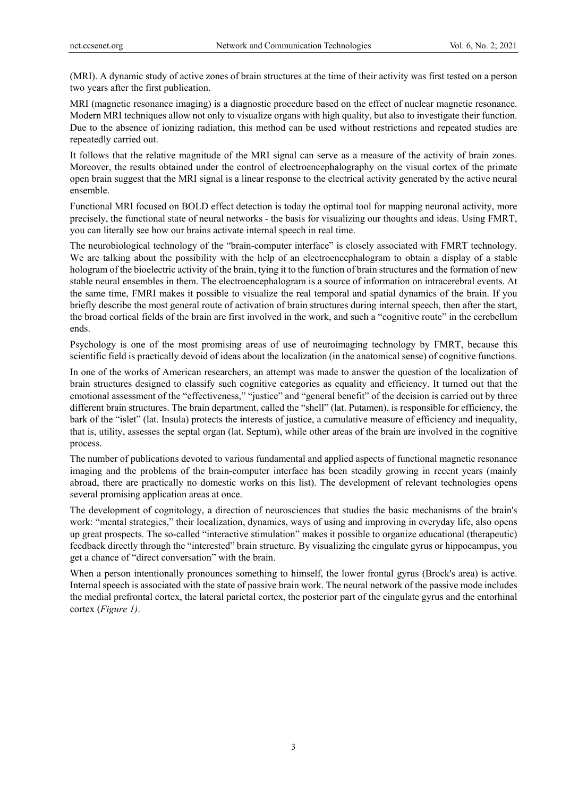(MRI). A dynamic study of active zones of brain structures at the time of their activity was first tested on a person two years after the first publication.

MRI (magnetic resonance imaging) is a diagnostic procedure based on the effect of nuclear magnetic resonance. Modern MRI techniques allow not only to visualize organs with high quality, but also to investigate their function. Due to the absence of ionizing radiation, this method can be used without restrictions and repeated studies are repeatedly carried out.

It follows that the relative magnitude of the MRI signal can serve as a measure of the activity of brain zones. Moreover, the results obtained under the control of electroencephalography on the visual cortex of the primate open brain suggest that the MRI signal is a linear response to the electrical activity generated by the active neural ensemble.

Functional MRI focused on BOLD effect detection is today the optimal tool for mapping neuronal activity, more precisely, the functional state of neural networks - the basis for visualizing our thoughts and ideas. Using FMRT, you can literally see how our brains activate internal speech in real time.

The neurobiological technology of the "brain-computer interface" is closely associated with FMRT technology. We are talking about the possibility with the help of an electroencephalogram to obtain a display of a stable hologram of the bioelectric activity of the brain, tying it to the function of brain structures and the formation of new stable neural ensembles in them. The electroencephalogram is a source of information on intracerebral events. At the same time, FMRI makes it possible to visualize the real temporal and spatial dynamics of the brain. If you briefly describe the most general route of activation of brain structures during internal speech, then after the start, the broad cortical fields of the brain are first involved in the work, and such a "cognitive route" in the cerebellum ends.

Psychology is one of the most promising areas of use of neuroimaging technology by FMRT, because this scientific field is practically devoid of ideas about the localization (in the anatomical sense) of cognitive functions.

In one of the works of American researchers, an attempt was made to answer the question of the localization of brain structures designed to classify such cognitive categories as equality and efficiency. It turned out that the emotional assessment of the "effectiveness," "justice" and "general benefit" of the decision is carried out by three different brain structures. The brain department, called the "shell" (lat. Putamen), is responsible for efficiency, the bark of the "islet" (lat. Insula) protects the interests of justice, a cumulative measure of efficiency and inequality, that is, utility, assesses the septal organ (lat. Septum), while other areas of the brain are involved in the cognitive process.

The number of publications devoted to various fundamental and applied aspects of functional magnetic resonance imaging and the problems of the brain-computer interface has been steadily growing in recent years (mainly abroad, there are practically no domestic works on this list). The development of relevant technologies opens several promising application areas at once.

The development of cognitology, a direction of neurosciences that studies the basic mechanisms of the brain's work: "mental strategies," their localization, dynamics, ways of using and improving in everyday life, also opens up great prospects. The so-called "interactive stimulation" makes it possible to organize educational (therapeutic) feedback directly through the "interested" brain structure. By visualizing the cingulate gyrus or hippocampus, you get a chance of "direct conversation" with the brain.

When a person intentionally pronounces something to himself, the lower frontal gyrus (Brock's area) is active. Internal speech is associated with the state of passive brain work. The neural network of the passive mode includes the medial prefrontal cortex, the lateral parietal cortex, the posterior part of the cingulate gyrus and the entorhinal cortex (*Figure 1)*.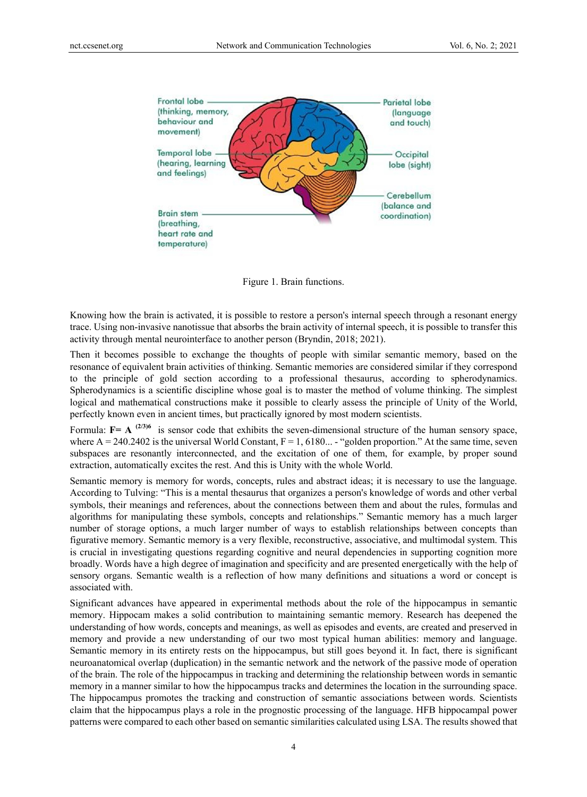

Figure 1. Brain functions.

Knowing how the brain is activated, it is possible to restore a person's internal speech through a resonant energy trace. Using non-invasive nanotissue that absorbs the brain activity of internal speech, it is possible to transfer this activity through mental neurointerface to another person (Bryndin, 2018; 2021).

Then it becomes possible to exchange the thoughts of people with similar semantic memory, based on the resonance of equivalent brain activities of thinking. Semantic memories are considered similar if they correspond to the principle of gold section according to a professional thesaurus, according to spherodynamics. Spherodynamics is a scientific discipline whose goal is to master the method of volume thinking. The simplest logical and mathematical constructions make it possible to clearly assess the principle of Unity of the World, perfectly known even in ancient times, but practically ignored by most modern scientists.

Formula:  $F = A^{(2/3)6}$  is sensor code that exhibits the seven-dimensional structure of the human sensory space, where  $A = 240.2402$  is the universal World Constant,  $F = 1, 6180...$  - "golden proportion." At the same time, seven subspaces are resonantly interconnected, and the excitation of one of them, for example, by proper sound extraction, automatically excites the rest. And this is Unity with the whole World.

Semantic memory is memory for words, concepts, rules and abstract ideas; it is necessary to use the language. According to Tulving: "This is a mental thesaurus that organizes a person's knowledge of words and other verbal symbols, their meanings and references, about the connections between them and about the rules, formulas and algorithms for manipulating these symbols, concepts and relationships." Semantic memory has a much larger number of storage options, a much larger number of ways to establish relationships between concepts than figurative memory. Semantic memory is a very flexible, reconstructive, associative, and multimodal system. This is crucial in investigating questions regarding cognitive and neural dependencies in supporting cognition more broadly. Words have a high degree of imagination and specificity and are presented energetically with the help of sensory organs. Semantic wealth is a reflection of how many definitions and situations a word or concept is associated with.

Significant advances have appeared in experimental methods about the role of the hippocampus in semantic memory. Hippocam makes a solid contribution to maintaining semantic memory. Research has deepened the understanding of how words, concepts and meanings, as well as episodes and events, are created and preserved in memory and provide a new understanding of our two most typical human abilities: memory and language. Semantic memory in its entirety rests on the hippocampus, but still goes beyond it. In fact, there is significant neuroanatomical overlap (duplication) in the semantic network and the network of the passive mode of operation of the brain. The role of the hippocampus in tracking and determining the relationship between words in semantic memory in a manner similar to how the hippocampus tracks and determines the location in the surrounding space. The hippocampus promotes the tracking and construction of semantic associations between words. Scientists claim that the hippocampus plays a role in the prognostic processing of the language. HFB hippocampal power patterns were compared to each other based on semantic similarities calculated using LSA. The results showed that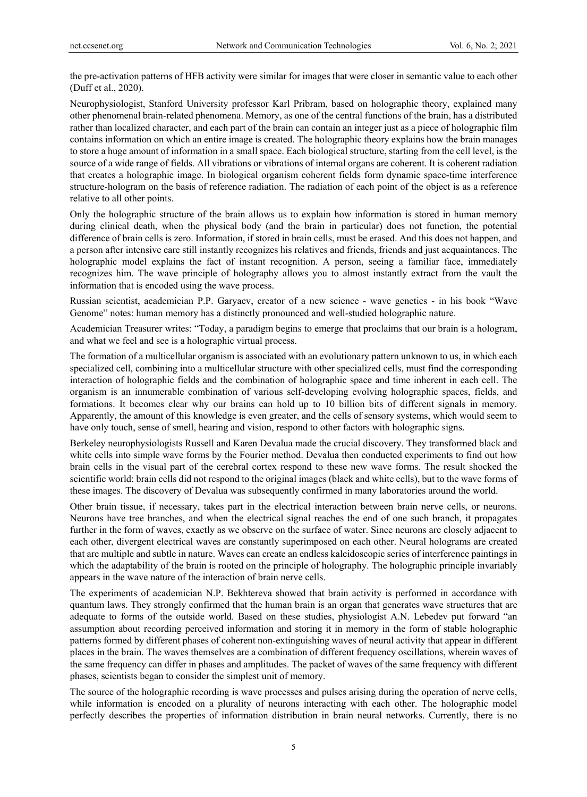the pre-activation patterns of HFB activity were similar for images that were closer in semantic value to each other (Duff et al., 2020).

Neurophysiologist, Stanford University professor Karl Pribram, based on holographic theory, explained many other phenomenal brain-related phenomena. Memory, as one of the central functions of the brain, has a distributed rather than localized character, and each part of the brain can contain an integer just as a piece of holographic film contains information on which an entire image is created. The holographic theory explains how the brain manages to store a huge amount of information in a small space. Each biological structure, starting from the cell level, is the source of a wide range of fields. All vibrations or vibrations of internal organs are coherent. It is coherent radiation that creates a holographic image. In biological organism coherent fields form dynamic space-time interference structure-hologram on the basis of reference radiation. The radiation of each point of the object is as a reference relative to all other points.

Only the holographic structure of the brain allows us to explain how information is stored in human memory during clinical death, when the physical body (and the brain in particular) does not function, the potential difference of brain cells is zero. Information, if stored in brain cells, must be erased. And this does not happen, and a person after intensive care still instantly recognizes his relatives and friends, friends and just acquaintances. The holographic model explains the fact of instant recognition. A person, seeing a familiar face, immediately recognizes him. The wave principle of holography allows you to almost instantly extract from the vault the information that is encoded using the wave process.

Russian scientist, academician P.P. Garyaev, creator of a new science - wave genetics - in his book "Wave Genome" notes: human memory has a distinctly pronounced and well-studied holographic nature.

Academician Treasurer writes: "Today, a paradigm begins to emerge that proclaims that our brain is a hologram, and what we feel and see is a holographic virtual process.

The formation of a multicellular organism is associated with an evolutionary pattern unknown to us, in which each specialized cell, combining into a multicellular structure with other specialized cells, must find the corresponding interaction of holographic fields and the combination of holographic space and time inherent in each cell. The organism is an innumerable combination of various self-developing evolving holographic spaces, fields, and formations. It becomes clear why our brains can hold up to 10 billion bits of different signals in memory. Apparently, the amount of this knowledge is even greater, and the cells of sensory systems, which would seem to have only touch, sense of smell, hearing and vision, respond to other factors with holographic signs.

Berkeley neurophysiologists Russell and Karen Devalua made the crucial discovery. They transformed black and white cells into simple wave forms by the Fourier method. Devalua then conducted experiments to find out how brain cells in the visual part of the cerebral cortex respond to these new wave forms. The result shocked the scientific world: brain cells did not respond to the original images (black and white cells), but to the wave forms of these images. The discovery of Devalua was subsequently confirmed in many laboratories around the world.

Other brain tissue, if necessary, takes part in the electrical interaction between brain nerve cells, or neurons. Neurons have tree branches, and when the electrical signal reaches the end of one such branch, it propagates further in the form of waves, exactly as we observe on the surface of water. Since neurons are closely adjacent to each other, divergent electrical waves are constantly superimposed on each other. Neural holograms are created that are multiple and subtle in nature. Waves can create an endless kaleidoscopic series of interference paintings in which the adaptability of the brain is rooted on the principle of holography. The holographic principle invariably appears in the wave nature of the interaction of brain nerve cells.

The experiments of academician N.P. Bekhtereva showed that brain activity is performed in accordance with quantum laws. They strongly confirmed that the human brain is an organ that generates wave structures that are adequate to forms of the outside world. Based on these studies, physiologist A.N. Lebedev put forward "an assumption about recording perceived information and storing it in memory in the form of stable holographic patterns formed by different phases of coherent non-extinguishing waves of neural activity that appear in different places in the brain. The waves themselves are a combination of different frequency oscillations, wherein waves of the same frequency can differ in phases and amplitudes. The packet of waves of the same frequency with different phases, scientists began to consider the simplest unit of memory.

The source of the holographic recording is wave processes and pulses arising during the operation of nerve cells, while information is encoded on a plurality of neurons interacting with each other. The holographic model perfectly describes the properties of information distribution in brain neural networks. Currently, there is no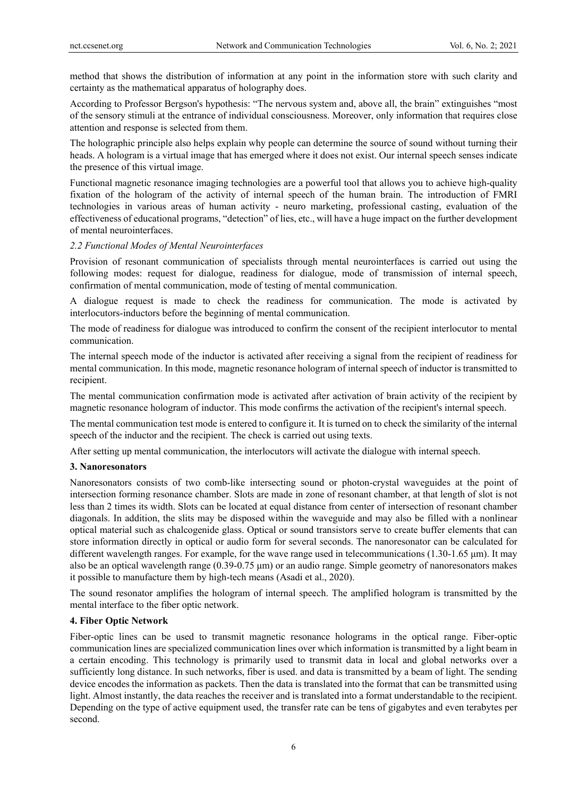method that shows the distribution of information at any point in the information store with such clarity and certainty as the mathematical apparatus of holography does.

According to Professor Bergson's hypothesis: "The nervous system and, above all, the brain" extinguishes "most of the sensory stimuli at the entrance of individual consciousness. Moreover, only information that requires close attention and response is selected from them.

The holographic principle also helps explain why people can determine the source of sound without turning their heads. A hologram is a virtual image that has emerged where it does not exist. Our internal speech senses indicate the presence of this virtual image.

Functional magnetic resonance imaging technologies are a powerful tool that allows you to achieve high-quality fixation of the hologram of the activity of internal speech of the human brain. The introduction of FMRI technologies in various areas of human activity - neuro marketing, professional casting, evaluation of the effectiveness of educational programs, "detection" of lies, etc., will have a huge impact on the further development of mental neurointerfaces.

### *2.2 Functional Modes of Mental Neurointerfaces*

Provision of resonant communication of specialists through mental neurointerfaces is carried out using the following modes: request for dialogue, readiness for dialogue, mode of transmission of internal speech, confirmation of mental communication, mode of testing of mental communication.

A dialogue request is made to check the readiness for communication. The mode is activated by interlocutors-inductors before the beginning of mental communication.

The mode of readiness for dialogue was introduced to confirm the consent of the recipient interlocutor to mental communication.

The internal speech mode of the inductor is activated after receiving a signal from the recipient of readiness for mental communication. In this mode, magnetic resonance hologram of internal speech of inductor is transmitted to recipient.

The mental communication confirmation mode is activated after activation of brain activity of the recipient by magnetic resonance hologram of inductor. This mode confirms the activation of the recipient's internal speech.

The mental communication test mode is entered to configure it. It is turned on to check the similarity of the internal speech of the inductor and the recipient. The check is carried out using texts.

After setting up mental communication, the interlocutors will activate the dialogue with internal speech.

#### **3. Nanoresonators**

Nanoresonators consists of two comb-like intersecting sound or photon-crystal waveguides at the point of intersection forming resonance chamber. Slots are made in zone of resonant chamber, at that length of slot is not less than 2 times its width. Slots can be located at equal distance from center of intersection of resonant chamber diagonals. In addition, the slits may be disposed within the waveguide and may also be filled with a nonlinear optical material such as chalcogenide glass. Optical or sound transistors serve to create buffer elements that can store information directly in optical or audio form for several seconds. The nanoresonator can be calculated for different wavelength ranges. For example, for the wave range used in telecommunications (1.30-1.65 μm). It may also be an optical wavelength range (0.39-0.75 μm) or an audio range. Simple geometry of nanoresonators makes it possible to manufacture them by high-tech means (Asadi et al., 2020).

The sound resonator amplifies the hologram of internal speech. The amplified hologram is transmitted by the mental interface to the fiber optic network.

# **4. Fiber Optic Network**

Fiber-optic lines can be used to transmit magnetic resonance holograms in the optical range. Fiber-optic communication lines are specialized communication lines over which information is transmitted by a light beam in a certain encoding. This technology is primarily used to transmit data in local and global networks over a sufficiently long distance. In such networks, fiber is used. and data is transmitted by a beam of light. The sending device encodes the information as packets. Then the data is translated into the format that can be transmitted using light. Almost instantly, the data reaches the receiver and is translated into a format understandable to the recipient. Depending on the type of active equipment used, the transfer rate can be tens of gigabytes and even terabytes per second.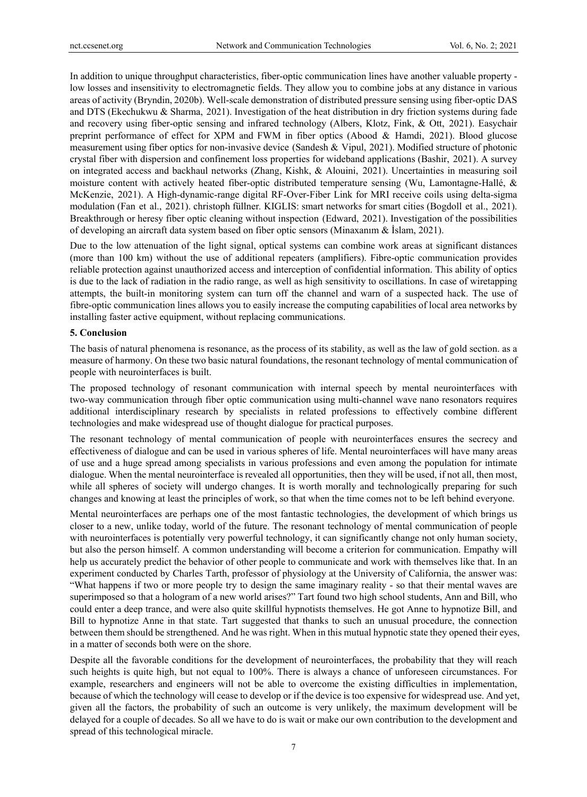In addition to unique throughput characteristics, fiber-optic communication lines have another valuable property low losses and insensitivity to electromagnetic fields. They allow you to combine jobs at any distance in various areas of activity (Bryndin, 2020b). Well-scale demonstration of distributed pressure sensing using fiber-optic DAS and DTS (Ekechukwu & Sharma, 2021). Investigation of the heat distribution in dry friction systems during fade and recovery using fiber-optic sensing and infrared technology (Albers, Klotz, Fink, & Ott, 2021). Easychair preprint performance of effect for XPM and FWM in fiber optics (Abood & Hamdi, 2021). Blood glucose measurement using fiber optics for non-invasive device (Sandesh & Vipul, 2021). Modified structure of photonic crystal fiber with dispersion and confinement loss properties for wideband applications (Bashir, 2021). A survey on integrated access and backhaul networks (Zhang, Kishk, & Alouini, 2021). Uncertainties in measuring soil moisture content with actively heated fiber-optic distributed temperature sensing (Wu, Lamontagne-Hallé, & McKenzie, 2021). A High-dynamic-range digital RF-Over-Fiber Link for MRI receive coils using delta-sigma modulation (Fan et al., 2021). christoph füllner*.* KIGLIS: smart networks for smart cities (Bogdoll et al., 2021). Breakthrough or heresy fiber optic cleaning without inspection (Edward, 2021). Investigation of the possibilities of developing an aircraft data system based on fiber optic sensors (Minaxanım & İslam, 2021).

Due to the low attenuation of the light signal, optical systems can combine work areas at significant distances (more than 100 km) without the use of additional repeaters (amplifiers). Fibre-optic communication provides reliable protection against unauthorized access and interception of confidential information. This ability of optics is due to the lack of radiation in the radio range, as well as high sensitivity to oscillations. In case of wiretapping attempts, the built-in monitoring system can turn off the channel and warn of a suspected hack. The use of fibre-optic communication lines allows you to easily increase the computing capabilities of local area networks by installing faster active equipment, without replacing communications.

# **5. Conclusion**

The basis of natural phenomena is resonance, as the process of its stability, as well as the law of gold section. as a measure of harmony. On these two basic natural foundations, the resonant technology of mental communication of people with neurointerfaces is built.

The proposed technology of resonant communication with internal speech by mental neurointerfaces with two-way communication through fiber optic communication using multi-channel wave nano resonators requires additional interdisciplinary research by specialists in related professions to effectively combine different technologies and make widespread use of thought dialogue for practical purposes.

The resonant technology of mental communication of people with neurointerfaces ensures the secrecy and effectiveness of dialogue and can be used in various spheres of life. Mental neurointerfaces will have many areas of use and a huge spread among specialists in various professions and even among the population for intimate dialogue. When the mental neurointerface is revealed all opportunities, then they will be used, if not all, then most, while all spheres of society will undergo changes. It is worth morally and technologically preparing for such changes and knowing at least the principles of work, so that when the time comes not to be left behind everyone.

Mental neurointerfaces are perhaps one of the most fantastic technologies, the development of which brings us closer to a new, unlike today, world of the future. The resonant technology of mental communication of people with neurointerfaces is potentially very powerful technology, it can significantly change not only human society, but also the person himself. A common understanding will become a criterion for communication. Empathy will help us accurately predict the behavior of other people to communicate and work with themselves like that. In an experiment conducted by Charles Tarth, professor of physiology at the University of California, the answer was: "What happens if two or more people try to design the same imaginary reality - so that their mental waves are superimposed so that a hologram of a new world arises?" Tart found two high school students, Ann and Bill, who could enter a deep trance, and were also quite skillful hypnotists themselves. He got Anne to hypnotize Bill, and Bill to hypnotize Anne in that state. Tart suggested that thanks to such an unusual procedure, the connection between them should be strengthened. And he was right. When in this mutual hypnotic state they opened their eyes, in a matter of seconds both were on the shore.

Despite all the favorable conditions for the development of neurointerfaces, the probability that they will reach such heights is quite high, but not equal to 100%. There is always a chance of unforeseen circumstances. For example, researchers and engineers will not be able to overcome the existing difficulties in implementation, because of which the technology will cease to develop or if the device is too expensive for widespread use. And yet, given all the factors, the probability of such an outcome is very unlikely, the maximum development will be delayed for a couple of decades. So all we have to do is wait or make our own contribution to the development and spread of this technological miracle.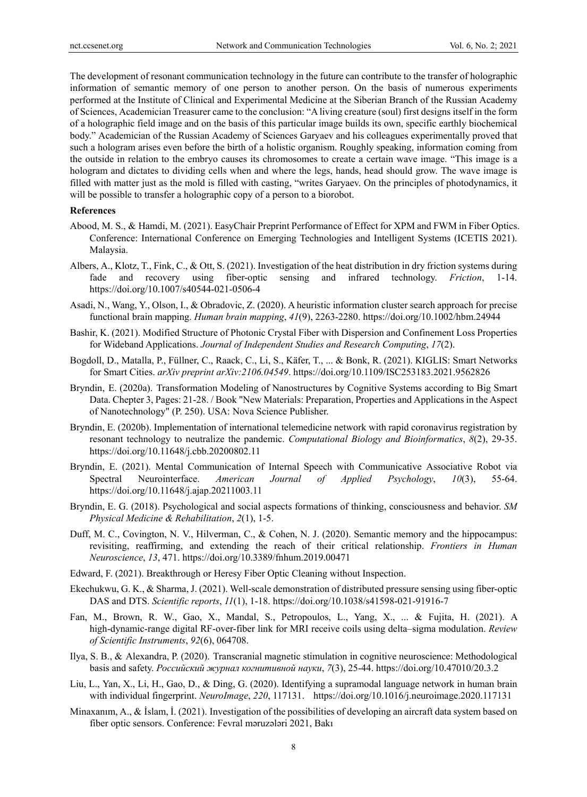The development of resonant communication technology in the future can contribute to the transfer of holographic information of semantic memory of one person to another person. On the basis of numerous experiments performed at the Institute of Clinical and Experimental Medicine at the Siberian Branch of the Russian Academy of Sciences, Academician Treasurer came to the conclusion: "A living creature (soul) first designs itself in the form of a holographic field image and on the basis of this particular image builds its own, specific earthly biochemical body." Academician of the Russian Academy of Sciences Garyaev and his colleagues experimentally proved that such a hologram arises even before the birth of a holistic organism. Roughly speaking, information coming from the outside in relation to the embryo causes its chromosomes to create a certain wave image. "This image is a hologram and dictates to dividing cells when and where the legs, hands, head should grow. The wave image is filled with matter just as the mold is filled with casting, "writes Garyaev. On the principles of photodynamics, it will be possible to transfer a holographic copy of a person to a biorobot.

#### **References**

- Abood, M. S., & Hamdi, M. (2021). EasyChair Preprint Performance of Effect for XPM and FWM in Fiber Optics. Conference: International Conference on Emerging Technologies and Intelligent Systems (ICETIS 2021). Malaysia.
- Albers, A., Klotz, T., Fink, C., & Ott, S. (2021). Investigation of the heat distribution in dry friction systems during fade and recovery using fiber-optic sensing and infrared technology. *Friction*, 1-14. https://doi.org/10.1007/s40544-021-0506-4
- Asadi, N., Wang, Y., Olson, I., & Obradovic, Z. (2020). A heuristic information cluster search approach for precise functional brain mapping. *Human brain mapping*, *41*(9), 2263-2280. https://doi.org/10.1002/hbm.24944
- Bashir, K. (2021). Modified Structure of Photonic Crystal Fiber with Dispersion and Confinement Loss Properties for Wideband Applications. *Journal of Independent Studies and Research Computing*, *17*(2).
- Bogdoll, D., Matalla, P., Füllner, C., Raack, C., Li, S., Käfer, T., ... & Bonk, R. (2021). KIGLIS: Smart Networks for Smart Cities. *arXiv preprint arXiv:2106.04549*. https://doi.org/10.1109/ISC253183.2021.9562826
- Bryndin, E. (2020a). Transformation Modeling of Nanostructures by Cognitive Systems according to Big Smart Data. Chepter 3, Pages: 21-28. / Book "New Materials: Preparation, Properties and Applications in the Aspect of Nanotechnology" (P. 250). USA: Nova Science Publisher.
- Bryndin, E. (2020b). Implementation of international telemedicine network with rapid coronavirus registration by resonant technology to neutralize the pandemic. *Computational Biology and Bioinformatics*, *8*(2), 29-35. https://doi.org/10.11648/j.cbb.20200802.11
- Bryndin, E. (2021). Mental Communication of Internal Speech with Communicative Associative Robot via Spectral Neurointerface. *American Journal of Applied Psychology*, *10*(3), 55-64. https://doi.org/10.11648/j.ajap.20211003.11
- Bryndin, E. G. (2018). Psychological and social aspects formations of thinking, consciousness and behavior. *SM Physical Medicine & Rehabilitation*, *2*(1), 1-5.
- Duff, M. C., Covington, N. V., Hilverman, C., & Cohen, N. J. (2020). Semantic memory and the hippocampus: revisiting, reaffirming, and extending the reach of their critical relationship. *Frontiers in Human Neuroscience*, *13*, 471. https://doi.org/10.3389/fnhum.2019.00471
- Edward, F. (2021). Breakthrough or Heresy Fiber Optic Cleaning without Inspection.
- Ekechukwu, G. K., & Sharma, J. (2021). Well-scale demonstration of distributed pressure sensing using fiber-optic DAS and DTS. *Scientific reports*, *11*(1), 1-18. https://doi.org/10.1038/s41598-021-91916-7
- Fan, M., Brown, R. W., Gao, X., Mandal, S., Petropoulos, L., Yang, X., ... & Fujita, H. (2021). A high-dynamic-range digital RF-over-fiber link for MRI receive coils using delta–sigma modulation. *Review of Scientific Instruments*, *92*(6), 064708.
- Ilya, S. B., & Alexandra, P. (2020). Transcranial magnetic stimulation in cognitive neuroscience: Methodological basis and safety. *Российский журнал когнитивной науки*, *7*(3), 25-44. https://doi.org/10.47010/20.3.2
- Liu, L., Yan, X., Li, H., Gao, D., & Ding, G. (2020). Identifying a supramodal language network in human brain with individual fingerprint. *NeuroImage*, *220*, 117131. https://doi.org/10.1016/j.neuroimage.2020.117131
- Minaxanım, A., & İslam, İ. (2021). Investigation of the possibilities of developing an aircraft data system based on fiber optic sensors. Conference: Fevral məruzələri 2021, Bakı